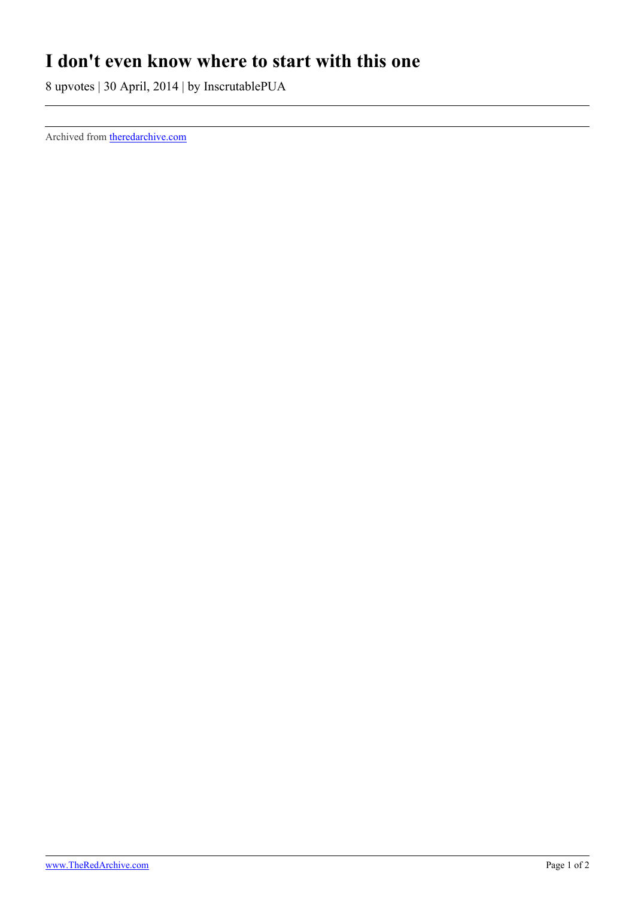## **I don't even know where to start with this one**

8 upvotes | 30 April, 2014 | by InscrutablePUA